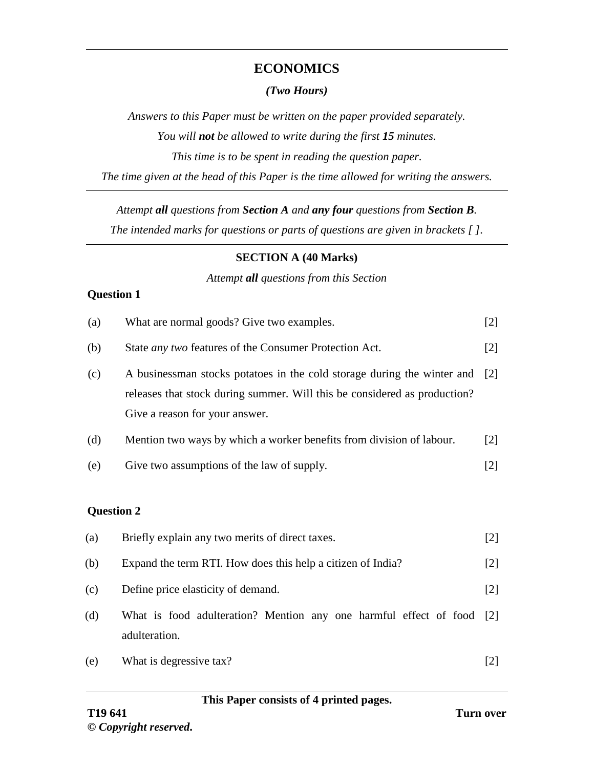## **ECONOMICS**

#### *(Two Hours)*

*Answers to this Paper must be written on the paper provided separately. You will not be allowed to write during the first 15 minutes. This time is to be spent in reading the question paper. The time given at the head of this Paper is the time allowed for writing the answers.*

*Attempt all questions from Section A and any four questions from Section B.*

*The intended marks for questions or parts of questions are given in brackets [ ].*

#### **SECTION A (40 Marks)**

#### *Attempt all questions from this Section*

### **Question 1**

| (a)               | What are normal goods? Give two examples.                                                                                                                                              |                   |
|-------------------|----------------------------------------------------------------------------------------------------------------------------------------------------------------------------------------|-------------------|
| (b)               | State <i>any two</i> features of the Consumer Protection Act.                                                                                                                          | $[2]$             |
| (c)               | A businessman stocks potatoes in the cold storage during the winter and<br>releases that stock during summer. Will this be considered as production?<br>Give a reason for your answer. | $\lceil 2 \rceil$ |
| (d)               | Mention two ways by which a worker benefits from division of labour.                                                                                                                   | $\lceil 2 \rceil$ |
| (e)               | Give two assumptions of the law of supply.                                                                                                                                             | $\lceil 2 \rceil$ |
| <b>Question 2</b> |                                                                                                                                                                                        |                   |
| (a)               | Briefly explain any two merits of direct taxes.                                                                                                                                        | $\lceil 2 \rceil$ |
| (b)               | Expand the term RTI. How does this help a citizen of India?                                                                                                                            | $\lceil 2 \rceil$ |

- (c) Define price elasticity of demand. [2]
- (d) What is food adulteration? Mention any one harmful effect of food [2] adulteration.
- (e) What is degressive tax? [2]

### **This Paper consists of 4 printed pages.**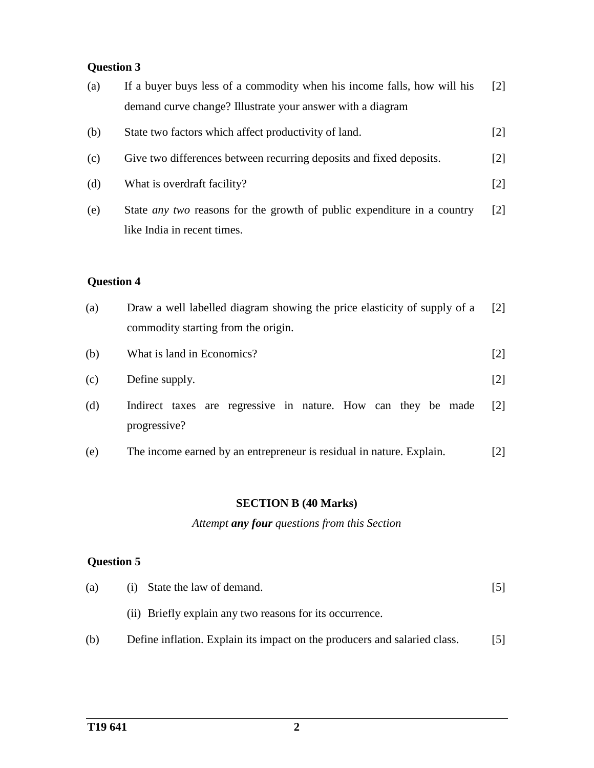# **Question 3**

| (a)               | If a buyer buys less of a commodity when his income falls, how will his<br>demand curve change? Illustrate your answer with a diagram | $\lceil 2 \rceil$ |
|-------------------|---------------------------------------------------------------------------------------------------------------------------------------|-------------------|
| (b)               | State two factors which affect productivity of land.                                                                                  | $[2]$             |
| (c)               | Give two differences between recurring deposits and fixed deposits.                                                                   | $[2]$             |
| (d)               | What is overdraft facility?                                                                                                           | $[2]$             |
| (e)               | State <i>any two</i> reasons for the growth of public expenditure in a country<br>like India in recent times.                         | $\lceil 2 \rceil$ |
| <b>Question 4</b> |                                                                                                                                       |                   |
| (a)               | Draw a well labelled diagram showing the price elasticity of supply of a<br>commodity starting from the origin.                       | $\lceil 2 \rceil$ |
| (b)               | What is land in Economics?                                                                                                            | $[2]$             |
| (c)               | Define supply.                                                                                                                        | $[2]$             |
| (d)               | Indirect taxes are regressive in nature. How can they be made<br>progressive?                                                         | $\lceil 2 \rceil$ |
| (e)               | The income earned by an entrepreneur is residual in nature. Explain.                                                                  | $[2]$             |

## **SECTION B (40 Marks)**

*Attempt any four questions from this Section*

# **Question 5**

| (a) | (i) State the law of demand.                                              |     |
|-----|---------------------------------------------------------------------------|-----|
|     | (ii) Briefly explain any two reasons for its occurrence.                  |     |
| (b) | Define inflation. Explain its impact on the producers and salaried class. | 151 |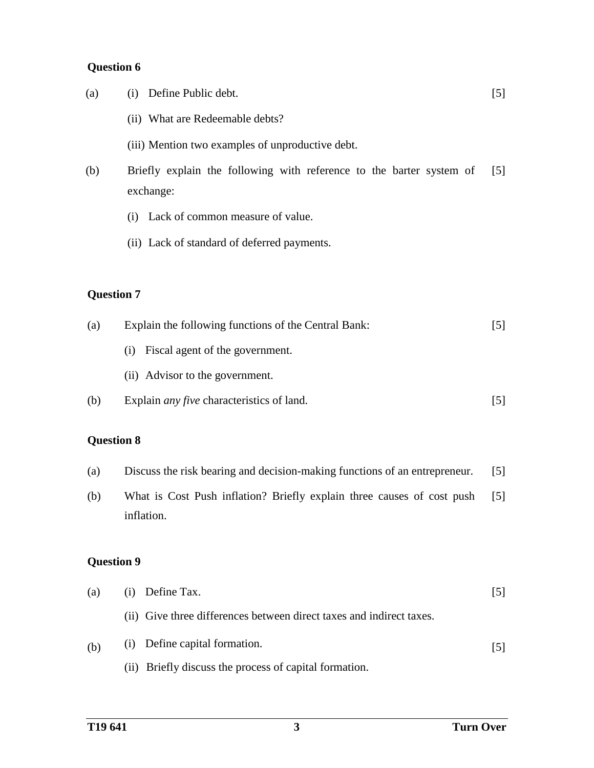# **Question 6**

| (a) | Define Public debt.<br>(1)                                                        | [5]               |
|-----|-----------------------------------------------------------------------------------|-------------------|
|     | (ii) What are Redeemable debts?                                                   |                   |
|     | (iii) Mention two examples of unproductive debt.                                  |                   |
| (b) | Briefly explain the following with reference to the barter system of<br>exchange: | $\lceil 5 \rceil$ |
|     | Lack of common measure of value.<br>(1)                                           |                   |
|     | (ii) Lack of standard of deferred payments.                                       |                   |
|     |                                                                                   |                   |

# **Question 7**

| (a) | Explain the following functions of the Central Bank: | 151 |
|-----|------------------------------------------------------|-----|
|     | Fiscal agent of the government.<br>(1)               |     |
|     | (ii) Advisor to the government.                      |     |
| (b) | Explain <i>any five</i> characteristics of land.     | 151 |

# **Question 8**

| Discuss the risk bearing and decision-making functions of an entrepreneur. [5]<br>(a) |  |
|---------------------------------------------------------------------------------------|--|
|---------------------------------------------------------------------------------------|--|

(b) What is Cost Push inflation? Briefly explain three causes of cost push inflation. [5]

# **Question 9**

| (a) | $(i)$ Define Tax.                                                    |     |
|-----|----------------------------------------------------------------------|-----|
|     | (ii) Give three differences between direct taxes and indirect taxes. |     |
| (b) | (i) Define capital formation.                                        | 151 |
|     | (ii) Briefly discuss the process of capital formation.               |     |